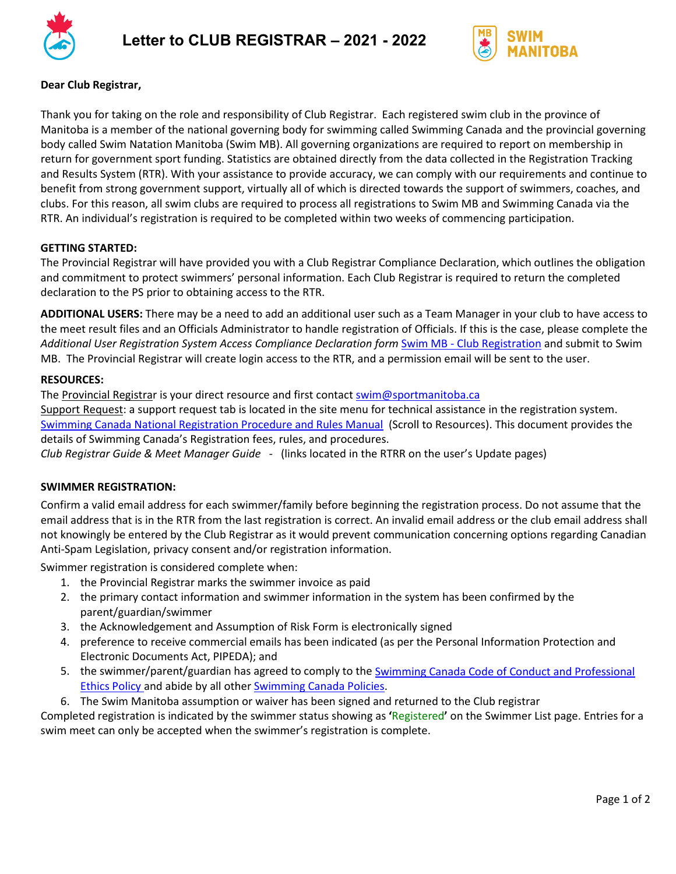



# **Dear Club Registrar,**

Thank you for taking on the role and responsibility of Club Registrar. Each registered swim club in the province of Manitoba is a member of the national governing body for swimming called Swimming Canada and the provincial governing body called Swim Natation Manitoba (Swim MB). All governing organizations are required to report on membership in return for government sport funding. Statistics are obtained directly from the data collected in the Registration Tracking and Results System (RTR). With your assistance to provide accuracy, we can comply with our requirements and continue to benefit from strong government support, virtually all of which is directed towards the support of swimmers, coaches, and clubs. For this reason, all swim clubs are required to process all registrations to Swim MB and Swimming Canada via the RTR. An individual's registration is required to be completed within two weeks of commencing participation.

# **GETTING STARTED:**

The Provincial Registrar will have provided you with a Club Registrar Compliance Declaration, which outlines the obligation and commitment to protect swimmers' personal information. Each Club Registrar is required to return the completed declaration to the PS prior to obtaining access to the RTR.

**ADDITIONAL USERS:** There may be a need to add an additional user such as a Team Manager in your club to have access to the meet result files and an Officials Administrator to handle registration of Officials. If this is the case, please complete the *Additional User Registration System Access Compliance Declaration form* Swim MB - [Club Registration](https://www.swimmanitoba.mb.ca/club-registration) and submit to Swim MB. The Provincial Registrar will create login access to the RTR, and a permission email will be sent to the user.

# **RESOURCES:**

The Provincial Registrar is your direct resource and first contact [swim@sportmanitoba.ca](mailto:swim@sportmanitoba.ca) Support Request: a support request tab is located in the site menu for technical assistance in the registration system. [Swimming Canada National Registration Procedure and Rules Manual](https://www.swimming.ca/en/registration/) (Scroll to Resources). This document provides the details of Swimming Canada's Registration fees, rules, and procedures.

*Club Registrar Guide & Meet Manager Guide -* (links located in the RTRR on the user's Update pages)

#### **SWIMMER REGISTRATION:**

Confirm a valid email address for each swimmer/family before beginning the registration process. Do not assume that the email address that is in the RTR from the last registration is correct. An invalid email address or the club email address shall not knowingly be entered by the Club Registrar as it would prevent communication concerning options regarding Canadian Anti-Spam Legislation, privacy consent and/or registration information.

Swimmer registration is considered complete when:

- 1. the Provincial Registrar marks the swimmer invoice as paid
- 2. the primary contact information and swimmer information in the system has been confirmed by the parent/guardian/swimmer
- 3. the Acknowledgement and Assumption of Risk Form is electronically signed
- 4. preference to receive commercial emails has been indicated (as per the Personal Information Protection and Electronic Documents Act, PIPEDA); and
- 5. the swimmer/parent/guardian has agreed to comply to the **Swimming Canada Code of Conduct and Professional** [Ethics Policy](https://www.swimming.ca/content/uploads/2018/05/2018_Swimming-Canada_Code-of-Conduct_FINAL.pdf) and abide by all other [Swimming Canada Policies.](https://www.swimming.ca/en/resources/board-governance/board-policies/)
- 6. The Swim Manitoba assumption or waiver has been signed and returned to the Club registrar

Completed registration is indicated by the swimmer status showing as **'**Registered**'** on the Swimmer List page. Entries for a swim meet can only be accepted when the swimmer's registration is complete.